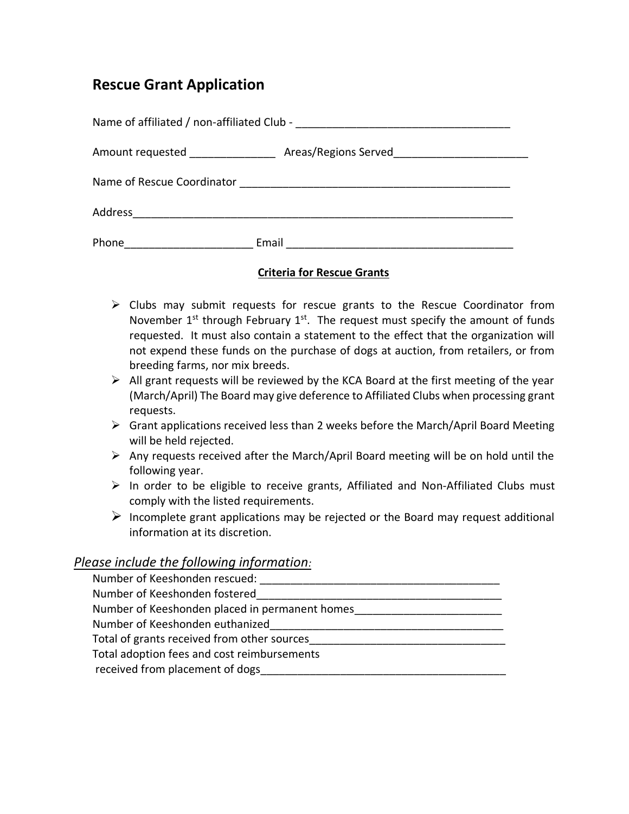## **Rescue Grant Application**

| Name of affiliated / non-affiliated Club - |                      |  |
|--------------------------------------------|----------------------|--|
| Amount requested ______________            | Areas/Regions Served |  |
| Name of Rescue Coordinator                 |                      |  |
| Address                                    |                      |  |
| Phone                                      | Email                |  |

## **Criteria for Rescue Grants**

- ➢ Clubs may submit requests for rescue grants to the Rescue Coordinator from November  $1<sup>st</sup>$  through February  $1<sup>st</sup>$ . The request must specify the amount of funds requested. It must also contain a statement to the effect that the organization will not expend these funds on the purchase of dogs at auction, from retailers, or from breeding farms, nor mix breeds.
- $\triangleright$  All grant requests will be reviewed by the KCA Board at the first meeting of the year (March/April) The Board may give deference to Affiliated Clubs when processing grant requests.
- $\triangleright$  Grant applications received less than 2 weeks before the March/April Board Meeting will be held rejected.
- $\triangleright$  Any requests received after the March/April Board meeting will be on hold until the following year.
- ➢ In order to be eligible to receive grants, Affiliated and Non-Affiliated Clubs must comply with the listed requirements.
- $\triangleright$  Incomplete grant applications may be rejected or the Board may request additional information at its discretion.

## *Please include the following information:*

| Number of Keeshonden rescued:                  |  |
|------------------------------------------------|--|
| Number of Keeshonden fostered                  |  |
| Number of Keeshonden placed in permanent homes |  |
| Number of Keeshonden euthanized                |  |
| Total of grants received from other sources    |  |
| Total adoption fees and cost reimbursements    |  |
| received from placement of dogs                |  |